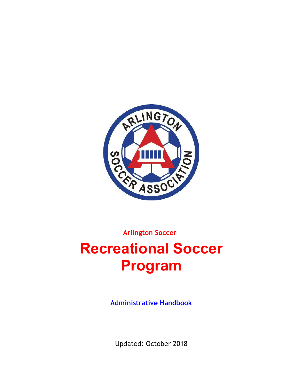

**Arlington Soccer**

# **Recreational Soccer Program**

**Administrative Handbook**

Updated: October 2018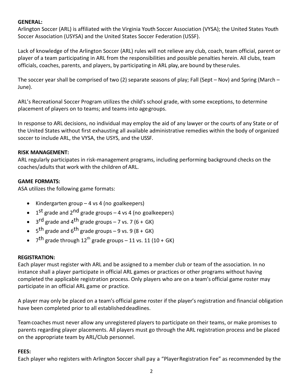#### **GENERAL:**

Arlington Soccer (ARL) is affiliated with the Virginia Youth Soccer Association (VYSA); the United States Youth Soccer Association (USYSA) and the United States Soccer Federation (USSF).

Lack of knowledge of the Arlington Soccer (ARL) rules will not relieve any club, coach, team official, parent or player of a team participating in ARL from the responsibilities and possible penalties herein. All clubs, team officials, coaches, parents, and players, by participating in ARL play, are bound by these rules.

The soccer year shall be comprised of two (2) separate seasons of play; Fall (Sept – Nov) and Spring (March – June).

ARL's Recreational Soccer Program utilizes the child's school grade, with some exceptions, to determine placement of players on to teams; and teams into age groups.

In response to ARL decisions, no individual may employ the aid of any lawyer or the courts of any State or of the United States without first exhausting all available administrative remedies within the body of organized soccer to include ARL, the VYSA, the USYS, and the USSF.

#### **RISK MANAGEMENT:**

ARL regularly participates in risk-management programs, including performing background checks on the coaches/adults that work with the children of ARL.

## **GAME FORMATS:**

ASA utilizes the following game formats:

- Kindergarten group  $-$  4 vs 4 (no goalkeepers)
- $1^{st}$  grade and  $2^{nd}$  grade groups 4 vs 4 (no goalkeepers)
- $3<sup>rd</sup>$  grade and 4<sup>th</sup> grade groups 7 vs. 7 (6 + GK)
- $5<sup>th</sup>$  grade and  $6<sup>th</sup>$  grade groups 9 vs. 9 (8 + GK)
- $7<sup>th</sup>$  grade through  $12<sup>th</sup>$  grade groups 11 vs. 11 (10 + GK)

## **REGISTRATION:**

Each player must register with ARL and be assigned to a member club or team of the association. In no instance shall a player participate in official ARL games or practices or other programs without having completed the applicable registration process. Only players who are on a team's official game roster may participate in an official ARL game or practice.

A player may only be placed on a team's official game roster if the player's registration and financial obligation have been completed prior to all established deadlines.

Team coaches must never allow any unregistered players to participate on their teams, or make promises to parents regarding player placements. All players must go through the ARL registration process and be placed on the appropriate team by ARL/Club personnel.

## **FEES:**

Each player who registers with Arlington Soccer shall pay a "PlayerRegistration Fee" as recommended by the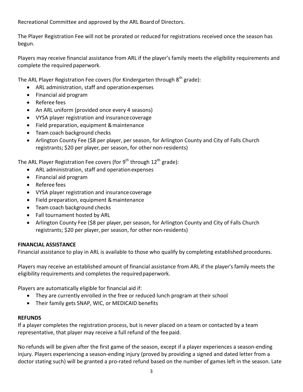Recreational Committee and approved by the ARL Board of Directors.

The Player Registration Fee will not be prorated or reduced for registrations received once the season has begun.

Players may receive financial assistance from ARL if the player's family meets the eligibility requirements and complete the required paperwork.

The ARL Player Registration Fee covers (for Kindergarten through  $8<sup>th</sup>$  grade):

- ARL administration, staff and operation expenses
- Financial aid program
- Referee fees
- An ARL uniform (provided once every 4 seasons)
- VYSA player registration and insurance coverage
- Field preparation, equipment & maintenance
- Team coach background checks
- Arlington County Fee (\$8 per player, per season, for Arlington County and City of Falls Church registrants; \$20 per player, per season, for other non-residents)

The ARL Player Registration Fee covers (for  $9^{th}$  through  $12^{th}$  grade):

- ARL administration, staff and operation expenses
- Financial aid program
- Referee fees
- VYSA player registration and insurance coverage
- Field preparation, equipment & maintenance
- Team coach background checks
- Fall tournament hosted by ARL
- Arlington County Fee (\$8 per player, per season, for Arlington County and City of Falls Church registrants; \$20 per player, per season, for other non-residents)

## **FINANCIAL ASSISTANCE**

Financial assistance to play in ARL is available to those who qualify by completing established procedures.

Players may receive an established amount of financial assistance from ARL if the player's family meets the eligibility requirements and completes the required paperwork.

Players are automatically eligible for financial aid if:

- They are currently enrolled in the free or reduced lunch program at their school
- Their family gets SNAP, WIC, or MEDICAID benefits

## **REFUNDS**

If a player completes the registration process, but is never placed on a team or contacted by a team representative, that player may receive a full refund of the fee paid.

No refunds will be given after the first game of the season, except if a player experiences a season-ending injury. Players experiencing a season-ending injury (proved by providing a signed and dated letter from a doctor stating such) will be granted a pro-rated refund based on the number of games left in the season. Late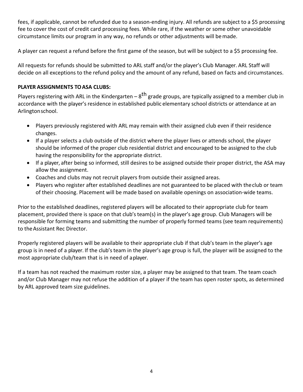fees, if applicable, cannot be refunded due to a season-ending injury. All refunds are subject to a \$5 processing fee to cover the cost of credit card processing fees. While rare, if the weather or some other unavoidable circumstance limits our program in any way, no refunds or other adjustments will be made.

A player can request a refund before the first game of the season, but will be subject to a \$5 processing fee.

All requests for refunds should be submitted to ARL staff and/or the player's Club Manager. ARL Staff will decide on all exceptions to the refund policy and the amount of any refund, based on facts and circumstances.

# **PLAYER ASSIGNMENTS TOASA CLUBS:**

Players registering with ARL in the Kindergarten –  $8<sup>th</sup>$  grade groups, are typically assigned to a member club in accordance with the player's residence in established public elementary school districts or attendance at an Arlingtonschool.

- Players previously registered with ARL may remain with their assigned club even if their residence changes.
- If a player selects a club outside of the district where the player lives or attends school, the player should be informed of the proper club residential district and encouraged to be assigned to the club having the responsibility for the appropriate district.
- If a player, after being so informed, still desires to be assigned outside their proper district, the ASA may allow the assignment.
- Coaches and clubs may not recruit players from outside their assigned areas.
- Players who register after established deadlines are not guaranteed to be placed with the club or team of their choosing. Placement will be made based on available openings on association-wide teams.

Prior to the established deadlines, registered players will be allocated to their appropriate club for team placement, provided there is space on that club's team(s) in the player's age group. Club Managers will be responsible for forming teams and submitting the number of properly formed teams (see team requirements) to the Assistant Rec Director.

Properly registered players will be available to their appropriate club if that club's team in the player's age group is in need of a player. If the club's team in the player's age group is full, the player will be assigned to the most appropriate club/team that is in need of aplayer.

If a team has not reached the maximum roster size, a player may be assigned to that team. The team coach and/or Club Manager may not refuse the addition of a player if the team has open roster spots, as determined by ARL approved team size guidelines.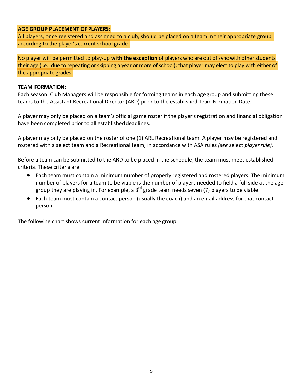#### **AGE GROUP PLACEMENT OF PLAYERS:**

All players, once registered and assigned to a club, should be placed on a team in their appropriate group, according to the player's current school grade.

No player will be permitted to play-up **with the exception** of players who are out of sync with other students their age (i.e.: due to repeating or skipping a year or more of school); that player may elect to play with either of the appropriate grades.

#### **TEAM FORMATION:**

Each season, Club Managers will be responsible for forming teams in each age group and submitting these teams to the Assistant Recreational Director (ARD) prior to the established Team Formation Date.

A player may only be placed on a team's official game roster if the player's registration and financial obligation have been completed prior to all established deadlines.

A player may only be placed on the roster of one (1) ARL Recreational team. A player may be registered and rostered with a select team and a Recreational team; in accordance with ASA rules *(see* select *player rule).* 

Before a team can be submitted to the ARD to be placed in the schedule, the team must meet established criteria. These criteria are:

- Each team must contain a minimum number of properly registered and rostered players. The minimum number of players for a team to be viable is the number of players needed to field a full side at the age group they are playing in. For example, a  $3^{rd}$  grade team needs seven (7) players to be viable.
- Each team must contain a contact person (usually the coach) and an email address for that contact person.

The following chart shows current information for each age group: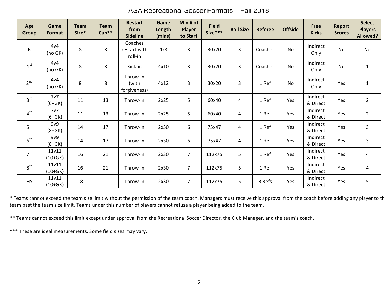| Age<br><b>Group</b>      | Game<br>Format     | <b>Team</b><br>Size* | <b>Team</b><br>$Cap**$ | <b>Restart</b><br>from<br><b>Sideline</b> | Game<br>Length<br>(mins) | Min # of<br><b>Player</b><br>to Start | <b>Field</b><br>Size*** | <b>Ball Size</b> | <b>Referee</b> | <b>Offside</b> | <b>Free</b><br><b>Kicks</b> | <b>Report</b><br><b>Scores</b> | <b>Select</b><br><b>Players</b><br><b>Allowed?</b> |
|--------------------------|--------------------|----------------------|------------------------|-------------------------------------------|--------------------------|---------------------------------------|-------------------------|------------------|----------------|----------------|-----------------------------|--------------------------------|----------------------------------------------------|
| К                        | 4v4<br>(no GK)     | 8                    | 8                      | Coaches<br>restart with<br>roll-in        | 4x8                      | 3                                     | 30x20                   | 3                | Coaches        | No             | Indirect<br>Only            | No                             | <b>No</b>                                          |
| $\mathbf{1}^{\text{st}}$ | 4v4<br>(no GK)     | 8                    | 8                      | Kick-in                                   | 4x10                     | $\overline{3}$                        | 30x20                   | 3                | Coaches        | No             | Indirect<br>Only            | No                             | $\mathbf{1}$                                       |
| 2 <sup>nd</sup>          | 4v4<br>(no GK)     | 8                    | 8                      | Throw-in<br>(with<br>forgiveness)         | 4x12                     | $\overline{3}$                        | 30x20                   | 3                | 1 Ref          | No             | Indirect<br>Only            | Yes                            | $\mathbf{1}$                                       |
| 3 <sup>rd</sup>          | 7v7<br>$(6+GK)$    | 11                   | 13                     | Throw-in                                  | 2x25                     | 5                                     | 60x40                   | 4                | 1 Ref          | Yes            | Indirect<br>& Direct        | Yes                            | $\overline{2}$                                     |
| 4 <sup>th</sup>          | 7v7<br>$(6+GK)$    | 11                   | 13                     | Throw-in                                  | 2x25                     | 5                                     | 60x40                   | 4                | 1 Ref          | Yes            | Indirect<br>& Direct        | Yes                            | $\overline{2}$                                     |
| 5 <sup>th</sup>          | 9v9<br>$(8+GK)$    | 14                   | 17                     | Throw-in                                  | 2x30                     | 6                                     | 75x47                   | 4                | 1 Ref          | Yes            | Indirect<br>& Direct        | Yes                            | 3                                                  |
| 6 <sup>th</sup>          | 9v9<br>$(8+GK)$    | 14                   | 17                     | Throw-in                                  | 2x30                     | 6                                     | 75x47                   | 4                | 1 Ref          | Yes            | Indirect<br>& Direct        | Yes                            | 3                                                  |
| 7 <sup>th</sup>          | 11v11<br>$(10+GK)$ | 16                   | 21                     | Throw-in                                  | 2x30                     | $\overline{7}$                        | 112x75                  | 5                | 1 Ref          | Yes            | Indirect<br>& Direct        | Yes                            | 4                                                  |
| $8^{\text{th}}$          | 11v11<br>$(10+GK)$ | 16                   | 21                     | Throw-in                                  | 2x30                     | $\overline{7}$                        | 112x75                  | 5                | 1 Ref          | Yes            | Indirect<br>& Direct        | Yes                            | 4                                                  |
| <b>HS</b>                | 11v11<br>$(10+GK)$ | 18                   | $\sim$                 | Throw-in                                  | 2x30                     | $\overline{7}$                        | 112x75                  | 5                | 3 Refs         | Yes            | Indirect<br>& Direct        | Yes                            | 5                                                  |

ASA Recreational Soccer Formats – Fall 2018

\* Teams cannot exceed the team size limit without the permission of the team coach. Managers must receive this approval from the coach before adding any player to the team past the team size limit. Teams under this number of players cannot refuse a player being added to the team.

\*\* Teams cannot exceed this limit except under approval from the Recreational Soccer Director, the Club Manager, and the team's coach.

\*\*\* These are ideal measurements. Some field sizes may vary.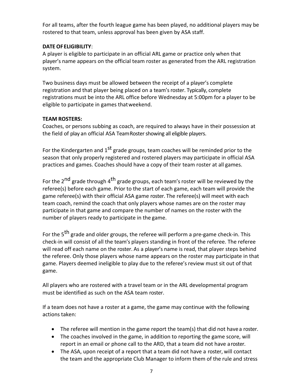For all teams, after the fourth league game has been played, no additional players may be rostered to that team, unless approval has been given by ASA staff.

## **DATE OFELIGIBILITY**:

A player is eligible to participate in an official ARL game or practice only when that player's name appears on the official team roster as generated from the ARL registration system.

Two business days must be allowed between the receipt of a player's complete registration and that player being placed on a team's roster. Typically, complete registrations must be into the ARL office before Wednesday at 5:00pm for a player to be eligible to participate in games that weekend.

# **TEAM ROSTERS:**

Coaches, or persons subbing as coach, are required to always have in their possession at the field of play an official ASA Team Roster showing all eligible players.

For the Kindergarten and  $1^{st}$  grade groups, team coaches will be reminded prior to the season that only properly registered and rostered players may participate in official ASA practices and games. Coaches should have a copy of their team roster at all games.

For the  $2^{nd}$  grade through  $4^{th}$  grade groups, each team's roster will be reviewed by the referee(s) before each game. Prior to the start of each game, each team will provide the game referee(s) with their official ASA game roster. The referee(s) will meet with each team coach, remind the coach that only players whose names are on the roster may participate in that game and compare the number of names on the roster with the number of players ready to participate in the game.

For the  $5<sup>th</sup>$  grade and older groups, the referee will perform a pre-game check-in. This check-in will consist of all the team's players standing in front of the referee. The referee will read off each name on the roster. As a player's name is read, that player steps behind the referee. Only those players whose name appears on the roster may participate in that game. Players deemed ineligible to play due to the referee's review must sit out of that game.

All players who are rostered with a travel team or in the ARL developmental program must be identified as such on the ASA team roster.

If a team does not have a roster at a game, the game may continue with the following actions taken:

- The referee will mention in the game report the team(s) that did not have a roster.
- The coaches involved in the game, in addition to reporting the game score, will report in an email or phone call to the ARD, that a team did not have a roster.
- The ASA, upon receipt of a report that a team did not have a roster, will contact the team and the appropriate Club Manager to inform them of the rule and stress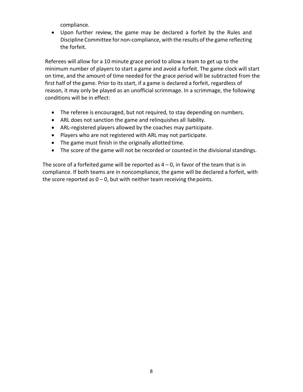compliance.

• Upon further review, the game may be declared a forfeit by the Rules and Discipline Committee for non-compliance, with the results ofthe game reflecting the forfeit.

Referees will allow for a 10 minute grace period to allow a team to get up to the minimum number of players to start a game and avoid a forfeit. The game clock will start on time, and the amount of time needed for the grace period will be subtracted from the first half of the game. Prior to its start, if a game is declared a forfeit, regardless of reason, it may only be played as an unofficial scrimmage. In a scrimmage, the following conditions will be in effect:

- The referee is encouraged, but not required, to stay depending on numbers.
- ARL does not sanction the game and relinquishes all liability.
- ARL-registered players allowed by the coaches may participate.
- Players who are not registered with ARL may not participate.
- The game must finish in the originally allotted time.
- The score of the game will not be recorded or counted in the divisional standings.

The score of a forfeited game will be reported as  $4 - 0$ , in favor of the team that is in compliance. If both teams are in noncompliance, the game will be declared a forfeit, with the score reported as  $0 - 0$ , but with neither team receiving the points.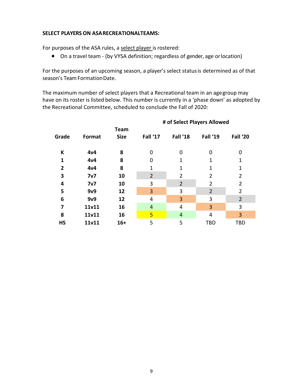#### **SELECT PLAYERS ON ASARECREATIONALTEAMS:**

For purposes of the ASA rules, a select player is rostered:

• On a travel team - (by VYSA definition; regardless of gender, age or location)

For the purposes of an upcoming season, a player's select status is determined as of that season's Team Formation Date.

The maximum number of select players that a Recreational team in an agegroup may have on its roster is listed below. This number is currently in a 'phase down' as adopted by the Recreational Committee, scheduled to conclude the Fall of 2020:

**# of Select Players Allowed**

| Grade          | Format         | <b>Team</b><br><b>Size</b> | Fall '17       | Fall '18       | Fall '19       | Fall '20       |  |  |  |  |  |
|----------------|----------------|----------------------------|----------------|----------------|----------------|----------------|--|--|--|--|--|
| K              | 4v4            | 8                          | 0              | 0              | 0              | O              |  |  |  |  |  |
| 1              | 4v4            | 8                          | 0              |                | 1              | 1              |  |  |  |  |  |
| $\overline{2}$ | 4v4            | 8                          | 1              |                | 1              | 1              |  |  |  |  |  |
| 3              | 7 <sub>v</sub> | 10                         | $\overline{2}$ | 2              | 2              | 2              |  |  |  |  |  |
| 4              | 7 <sub>v</sub> | 10                         | 3              | $\overline{2}$ | 2              | 2              |  |  |  |  |  |
| 5              | 9v9            | 12                         | 3              | 3              | $\overline{2}$ | 2              |  |  |  |  |  |
| 6              | 9v9            | 12                         | 4              | 3              | 3              | $\overline{2}$ |  |  |  |  |  |
| 7              | 11v11          | 16                         | 4              | 4              | 3              | 3              |  |  |  |  |  |
| 8              | 11v11          | 16                         | 5              | $\overline{4}$ | 4              | 3              |  |  |  |  |  |
| <b>HS</b>      | 11v11          | $16+$                      | 5              | 5              | <b>TBD</b>     | <b>TBD</b>     |  |  |  |  |  |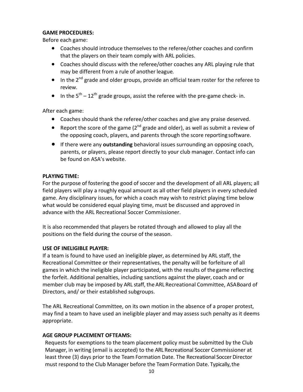#### **GAME PROCEDURES:**

Before each game:

- Coaches should introduce themselves to the referee/other coaches and confirm that the players on their team comply with ARL policies.
- Coaches should discuss with the referee/other coaches any ARL playing rule that may be different from a rule of another league.
- In the  $2^{nd}$  grade and older groups, provide an official team roster for the referee to review.
- In the  $5^{th} 12^{th}$  grade groups, assist the referee with the pre-game check- in.

After each game:

- Coaches should thank the referee/other coaches and give any praise deserved.
- Report the score of the game  $(2^{nd}$  grade and older), as well as submit a review of the opposing coach, players, and parents through the score reporting software.
- **•** If there were any **outstanding** behavioral issues surrounding an opposing coach, parents, or players, please report directly to your club manager. Contact info can be found on ASA's website.

## **PLAYING TIME:**

For the purpose of fostering the good of soccer and the development of all ARL players; all field players will play a roughly equal amount as all other field players in every scheduled game. Any disciplinary issues, for which a coach may wish to restrict playing time below what would be considered equal playing time, must be discussed and approved in advance with the ARL Recreational Soccer Commissioner.

It is also recommended that players be rotated through and allowed to play all the positions on the field during the course of the season.

## **USE OF INELIGIBLE PLAYER:**

If a team is found to have used an ineligible player, as determined by ARL staff, the Recreational Committee or their representatives, the penalty will be forfeiture of all games in which the ineligible player participated, with the results of the game reflecting the forfeit. Additional penalties, including sanctions against the player, coach and or member club may be imposed by ARL staff, the ARL Recreational Committee, ASABoard of Directors, and/ or their established subgroups.

The ARL Recreational Committee, on its own motion in the absence of a proper protest, may find a team to have used an ineligible player and may assess such penalty as it deems appropriate.

## **AGE GROUP PLACEMENT OFTEAMS:**

Requests for exemptions to the team placement policy must be submitted by the Club Manager, in writing (email is accepted) to the ARL Recreational Soccer Commissioner at least three (3) days prior to the Team Formation Date. The Recreational Soccer Director must respond to the Club Manager before the Team Formation Date. Typically, the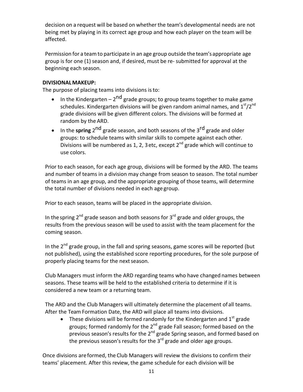decision on a request will be based on whether the team's developmental needs are not being met by playing in its correct age group and how each player on the team will be affected.

Permission for a team to participate in an age group outside the team's appropriate age group is for one (1) season and, if desired, must be re- submitted for approval at the beginning each season.

# **DIVISIONALMAKEUP:**

The purpose of placing teams into divisions is to:

- In the Kindergarten  $2^{nd}$  grade groups; to group teams together to make game schedules. Kindergarten divisions will be given random animal names, and  $1<sup>st</sup>/2<sup>nd</sup>$ grade divisions will be given different colors. The divisions will be formed at random by the ARD.
- In the **spring** 2<sup>nd</sup> grade season, and both seasons of the 3<sup>rd</sup> grade and older groups: to schedule teams with similar skills to compete against each other. Divisions will be numbered as 1, 2, 3 etc, except  $2^{nd}$  grade which will continue to use colors.

Prior to each season, for each age group, divisions will be formed by the ARD. The teams and number of teams in a division may change from season to season. The total number of teams in an age group, and the appropriate grouping of those teams, will determine the total number of divisions needed in each age group.

Prior to each season, teams will be placed in the appropriate division.

In the spring  $2^{nd}$  grade season and both seasons for  $3^{rd}$  grade and older groups, the results from the previous season will be used to assist with the team placement for the coming season.

In the  $2^{nd}$  grade group, in the fall and spring seasons, game scores will be reported (but not published), using the established score reporting procedures, for the sole purpose of properly placing teams for the next season.

Club Managers must inform the ARD regarding teams who have changed names between seasons. These teams will be held to the established criteria to determine if it is considered a new team or a returning team.

The ARD and the Club Managers will ultimately determine the placement of all teams. After the Team Formation Date, the ARD will place all teams into divisions.

These divisions will be formed randomly for the Kindergarten and  $1<sup>st</sup>$  grade groups; formed randomly for the  $2^{nd}$  grade Fall season; formed based on the  $\frac{1}{2}$  previous season's results for the 2<sup>nd</sup> grade Spring season, and formed based on the previous season's results for the  $3<sup>rd</sup>$  grade and older age groups.

Once divisions are formed, the Club Managers will review the divisions to confirm their teams' placement. After this review, the game schedule for each division will be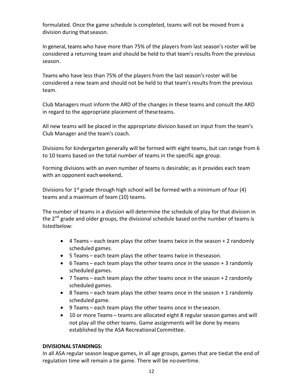formulated. Once the game schedule is completed, teams will not be moved from a division during that season.

In general, teams who have more than 75% of the players from last season's roster will be considered a returning team and should be held to that team's results from the previous season.

Teams who have less than 75% of the players from the last season's roster will be considered a new team and should not be held to that team's results from the previous team.

Club Managers must inform the ARD of the changes in these teams and consult the ARD in regard to the appropriate placement of these teams.

All new teams will be placed in the appropriate division based on input from the team's Club Manager and the team's coach.

Divisions for kindergarten generally will be formed with eight teams, but can range from 6 to 10 teams based on the total number of teams in the specific age group.

Forming divisions with an even number of teams is desirable; as it provides each team with an opponent each weekend.

Divisions for  $1^{st}$  grade through high school will be formed with a minimum of four (4) teams and a maximum of team (10) teams.

The number of teams in a division will determine the schedule of play for that division in the  $2^{nd}$  grade and older groups, the divisional schedule based on the number of teams is listedbelow:

- $\bullet$  4 Teams each team plays the other teams twice in the season + 2 randomly scheduled games.
- 5 Teams each team plays the other teams twice in theseason.
- 6 Teams each team plays the other teams once in the season + 3 randomly scheduled games.
- $\overline{7}$  Teams each team plays the other teams once in the season + 2 randomly scheduled games.
- 8 Teams each team plays the other teams once in the season + 1 randomly scheduled game.
- 9 Teams each team plays the other teams once in the season.
- 10 or more Teams teams are allocated eight 8 regular season games and will not play all the other teams. Game assignments will be done by means established by the ASA Recreational Committee.

#### **DIVISIONAL STANDINGS:**

In all ASA regular season league games, in all age groups, games that are tied at the end of regulation time will remain a tie game. There will be no overtime.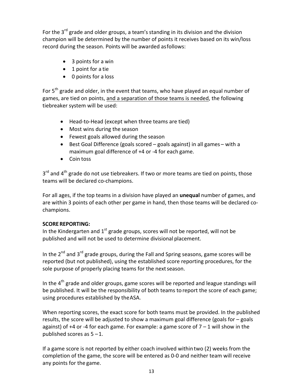For the  $3^{rd}$  grade and older groups, a team's standing in its division and the division champion will be determined by the number of points it receives based on its win/loss record during the season. Points will be awarded as follows:

- $\bullet$  3 points for a win
- 1 point for a tie
- 0 points for a loss

For  $5<sup>th</sup>$  grade and older, in the event that teams, who have played an equal number of games, are tied on points, and a separation of those teams is needed, the following tiebreaker system will be used:

- Head-to-Head (except when three teams are tied)
- Most wins during the season
- Fewest goals allowed during the season
- Best Goal Difference (goals scored goals against) in all games with a maximum goal difference of +4 or -4 for each game.
- Coin toss

 $3<sup>rd</sup>$  and  $4<sup>th</sup>$  grade do not use tiebreakers. If two or more teams are tied on points, those teams will be declared co-champions.

For all ages, if the top teams in a division have played an **unequal** number of games, and are within 3 points of each other per game in hand, then those teams will be declared cochampions. 

# **SCOREREPORTING:**

In the Kindergarten and  $1<sup>st</sup>$  grade groups, scores will not be reported, will not be published and will not be used to determine divisional placement.

In the  $2^{nd}$  and  $3^{rd}$  grade groups, during the Fall and Spring seasons, game scores will be reported (but not published), using the established score reporting procedures, for the sole purpose of properly placing teams for the next season.

In the  $4<sup>th</sup>$  grade and older groups, game scores will be reported and league standings will be published. It will be the responsibility of both teams to report the score of each game; using procedures established by the ASA.

When reporting scores, the exact score for both teams must be provided. In the published results, the score will be adjusted to show a maximum goal difference (goals for  $-$  goals against) of +4 or -4 for each game. For example: a game score of  $7 - 1$  will show in the published scores as  $5 - 1$ .

If a game score is not reported by either coach involved within two (2) weeks from the completion of the game, the score will be entered as 0-0 and neither team will receive any points for the game.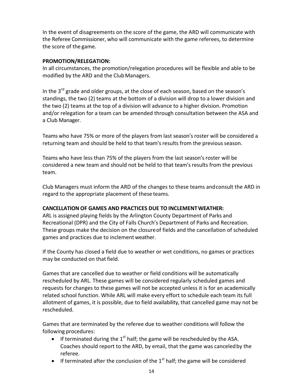In the event of disagreements on the score of the game, the ARD will communicate with the Referee Commissioner, who will communicate with the game referees, to determine the score of the game.

#### **PROMOTION/RELEGATION:**

In all circumstances, the promotion/relegation procedures will be flexible and able to be modified by the ARD and the Club Managers.

In the  $3^{rd}$  grade and older groups, at the close of each season, based on the season's standings, the two (2) teams at the bottom of a division will drop to a lower division and the two (2) teams at the top of a division will advance to a higher division. Promotion and/or relegation for a team can be amended through consultation between the ASA and a Club Manager.

Teams who have 75% or more of the players from last season's roster will be considered a returning team and should be held to that team's results from the previous season.

Teams who have less than 75% of the players from the last season's roster will be considered a new team and should not be held to that team's results from the previous team.

Club Managers must inform the ARD of the changes to these teams and consult the ARD in regard to the appropriate placement of these teams.

## **CANCELLATION OF GAMES AND PRACTICES DUE TO INCLEMENTWEATHER:**

ARL is assigned playing fields by the Arlington County Department of Parks and Recreational (DPR) and the City of Falls Church's Department of Parks and Recreation. These groups make the decision on the closure of fields and the cancellation of scheduled games and practices due to inclement weather.

If the County has closed a field due to weather or wet conditions, no games or practices may be conducted on that field.

Games that are cancelled due to weather or field conditions will be automatically rescheduled by ARL. These games will be considered regularly scheduled games and requests for changes to these games will not be accepted unless it is for an academically related school function. While ARL will make every effort to schedule each team its full allotment of games, it is possible, due to field availability, that cancelled game may not be rescheduled.

Games that are terminated by the referee due to weather conditions will follow the following procedures:

- If terminated during the  $1^{st}$  half; the game will be rescheduled by the ASA. Coaches should report to the ARD, by email, that the game was canceled by the referee.
- If terminated after the conclusion of the  $1<sup>st</sup>$  half; the game will be considered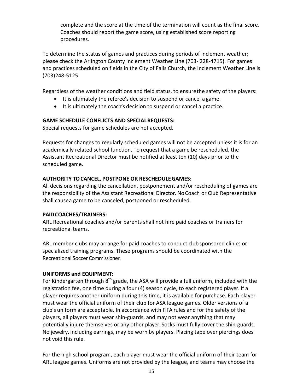complete and the score at the time of the termination will count as the final score. Coaches should report the game score, using established score reporting procedures.

To determine the status of games and practices during periods of inclement weather; please check the Arlington County Inclement Weather Line (703- 228-4715). For games and practices scheduled on fields in the City of Falls Church, the Inclement Weather Line is (703)248-5125.

Regardless of the weather conditions and field status, to ensurethe safety of the players:

- $\bullet$  It is ultimately the referee's decision to suspend or cancel a game.
- It is ultimately the coach's decision to suspend or cancel a practice.

# **GAME SCHEDULE CONFLICTS AND SPECIAL REQUESTS:**

Special requests for game schedules are not accepted.

Requests for changes to regularly scheduled games will not be accepted unless it is for an academically related school function. To request that a game be rescheduled, the Assistant Recreational Director must be notified at least ten (10) days prior to the scheduled game.

# **AUTHORITY TOCANCEL, POSTPONE OR RESCHEDULEGAMES:**

All decisions regarding the cancellation, postponement and/or rescheduling of games are the responsibility of the Assistant Recreational Director. No Coach or Club Representative shall causea game to be canceled, postponed or rescheduled.

## **PAIDCOACHES/TRAINERS:**

ARL Recreational coaches and/or parents shall not hire paid coaches or trainers for recreational teams.

ARL member clubs may arrange for paid coaches to conduct club sponsored clinics or specialized training programs. These programs should be coordinated with the Recreational Soccer Commissioner.

## **UNIFORMS and EQUIPMENT:**

For Kindergarten through  $8<sup>th</sup>$  grade, the ASA will provide a full uniform, included with the registration fee, one time during a four (4) season cycle, to each registered player. If a player requires another uniform during this time, it is available for purchase. Each player must wear the official uniform of their club for ASA league games. Older versions of a club's uniform are acceptable. In accordance with FIFA rules and for the safety of the players, all players must wear shin-guards, and may not wear anything that may potentially injure themselves or any other player. Socks must fully cover the shin-guards. No jewelry, including earrings, may be worn by players. Placing tape over piercings does not void this rule.

For the high school program, each player must wear the official uniform of their team for ARL league games. Uniforms are not provided by the league, and teams may choose the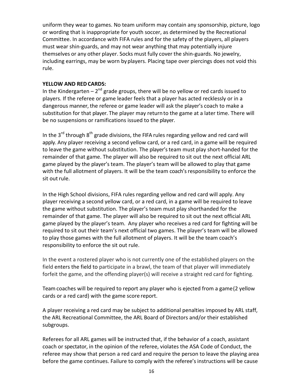uniform they wear to games. No team uniform may contain any sponsorship, picture,  $logo$ or wording that is inappropriate for youth soccer, as determined by the Recreational Committee. In accordance with FIFA rules and for the safety of the players, all players must wear shin-guards, and may not wear anything that may potentially injure themselves or any other player. Socks must fully cover the shin-guards. No jewelry, including earrings, may be worn by players. Placing tape over piercings does not void this rule.

#### **YELLOW AND REDCARDS:**

In the Kindergarten  $-2^{nd}$  grade groups, there will be no yellow or red cards issued to players. If the referee or game leader feels that a player has acted recklessly or in a dangerous manner, the referee or game leader will ask the player's coach to make a substitution for that player. The player may return to the game at a later time. There will be no suspensions or ramifications issued to the player.

In the  $3^{rd}$  through  $8^{th}$  grade divisions, the FIFA rules regarding yellow and red card will apply. Any player receiving a second yellow card, or a red card, in a game will be required to leave the game without substitution. The player's team must play short-handed for the remainder of that game. The player will also be required to sit out the next official ARL game played by the player's team. The player's team will be allowed to play that game with the full allotment of players. It will be the team coach's responsibility to enforce the sit out rule.

In the High School divisions, FIFA rules regarding yellow and red card will apply. Any player receiving a second yellow card, or a red card, in a game will be required to leave the game without substitution. The player's team must play shorthanded for the remainder of that game. The player will also be required to sit out the next official ARL game played by the player's team. Any player who receives a red card for fighting will be required to sit out their team's next official two games. The player's team will be allowed to play those games with the full allotment of players. It will be the team coach's responsibility to enforce the sit out rule.

In the event a rostered player who is not currently one of the established players on the field enters the field to participate in a brawl, the team of that player will immediately forfeit the game, and the offending player(s) will receive a straight red card for fighting.

Team coaches will be required to report any player who is ejected from a game (2 yellow cards or a red card) with the game score report.

A player receiving a red card may be subject to additional penalties imposed by ARL staff, the ARL Recreational Committee, the ARL Board of Directors and/or their established subgroups.

Referees for all ARL games will be instructed that, if the behavior of a coach, assistant coach or spectator, in the opinion of the referee, violates the ASA Code of Conduct, the referee may show that person a red card and require the person to leave the playing area before the game continues. Failure to comply with the referee's instructions will be cause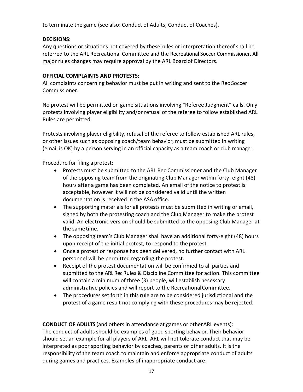to terminate the game (see also: Conduct of Adults; Conduct of Coaches).

## **DECISIONS:**

Any questions or situations not covered by these rules or interpretation thereof shall be referred to the ARL Recreational Committee and the Recreational Soccer Commissioner. All major rules changes may require approval by the ARL Board of Directors.

#### **OFFICIAL COMPLAINTS AND PROTESTS:**

All complaints concerning behavior must be put in writing and sent to the Rec Soccer Commissioner. 

No protest will be permitted on game situations involving "Referee Judgment" calls. Only protests involving player eligibility and/or refusal of the referee to follow established ARL Rules are permitted.

Protests involving player eligibility, refusal of the referee to follow established ARL rules, or other issues such as opposing coach/team behavior, must be submitted in writing (email is OK) by a person serving in an official capacity as a team coach or club manager.

Procedure for filing a protest:

- Protests must be submitted to the ARL Rec Commissioner and the Club Manager of the opposing team from the originating Club Manager within forty- eight (48) hours after a game has been completed. An email of the notice to protest is acceptable, however it will not be considered valid until the written documentation is received in the ASA office.
- The supporting materials for all protests must be submitted in writing or email, signed by both the protesting coach and the Club Manager to make the protest valid. An electronic version should be submitted to the opposing Club Manager at the same time.
- The opposing team's Club Manager shall have an additional forty-eight (48) hours upon receipt of the initial protest, to respond to the protest.
- Once a protest or response has been delivered, no further contact with ARL personnel will be permitted regarding the protest.
- Receipt of the protest documentation will be confirmed to all parties and submitted to the ARL Rec Rules & Discipline Committee for action. This committee will contain a minimum of three (3) people, will establish necessary administrative policies and will report to the Recreational Committee.
- The procedures set forth in this rule are to be considered jurisdictional and the protest of a game result not complying with these procedures may be rejected.

**CONDUCT OF ADULTS** (and others in attendance at games or otherARL events): The conduct of adults should be examples of good sporting behavior. Their behavior should set an example for all players of ARL. ARL will not tolerate conduct that may be interpreted as poor sporting behavior by coaches, parents or other adults. It is the responsibility of the team coach to maintain and enforce appropriate conduct of adults during games and practices. Examples of inappropriate conduct are: